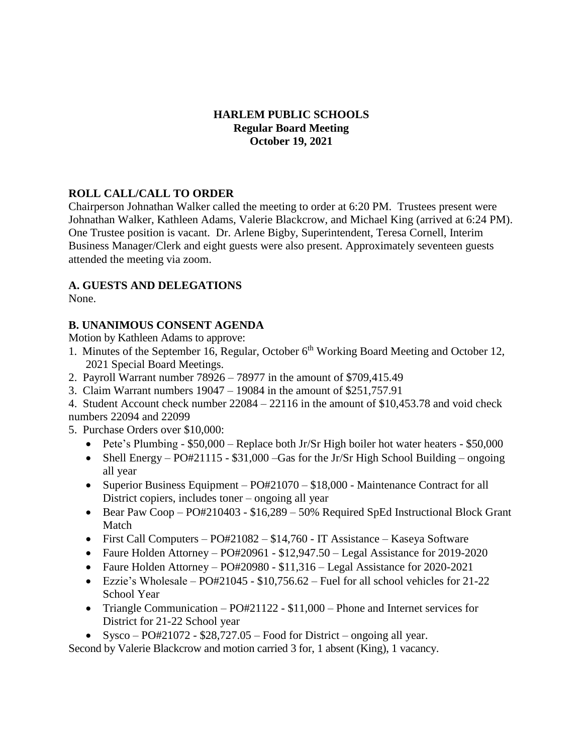#### **HARLEM PUBLIC SCHOOLS Regular Board Meeting October 19, 2021**

### **ROLL CALL/CALL TO ORDER**

Chairperson Johnathan Walker called the meeting to order at 6:20 PM. Trustees present were Johnathan Walker, Kathleen Adams, Valerie Blackcrow, and Michael King (arrived at 6:24 PM). One Trustee position is vacant. Dr. Arlene Bigby, Superintendent, Teresa Cornell, Interim Business Manager/Clerk and eight guests were also present. Approximately seventeen guests attended the meeting via zoom.

### **A. GUESTS AND DELEGATIONS**

None.

# **B. UNANIMOUS CONSENT AGENDA**

Motion by Kathleen Adams to approve:

- 1. Minutes of the September 16, Regular, October 6<sup>th</sup> Working Board Meeting and October 12, 2021 Special Board Meetings.
- 2. Payroll Warrant number 78926 78977 in the amount of \$709,415.49
- 3. Claim Warrant numbers 19047 19084 in the amount of \$251,757.91

4. Student Account check number 22084 – 22116 in the amount of \$10,453.78 and void check numbers 22094 and 22099

- 5. Purchase Orders over \$10,000:
	- Pete's Plumbing \$50,000 Replace both Jr/Sr High boiler hot water heaters \$50,000
	- Shell Energy  $PO#21115 $31,000$  –Gas for the Jr/Sr High School Building ongoing all year
	- Superior Business Equipment PO#21070 \$18,000 Maintenance Contract for all District copiers, includes toner – ongoing all year
	- Bear Paw Coop PO#210403  $$16,289 50\%$  Required SpEd Instructional Block Grant Match
	- First Call Computers PO#21082 \$14,760 IT Assistance Kaseya Software
	- Faure Holden Attorney  $PO#20961 $12,947.50 Legal Assistance for 2019-2020$
	- Faure Holden Attorney PO#20980 \$11,316 Legal Assistance for 2020-2021
	- Ezzie's Wholesale  $PO#21045 $10,756.62$  Fuel for all school vehicles for 21-22 School Year
	- Triangle Communication  $P\text{O#21122 $11,000}$  Phone and Internet services for District for 21-22 School year
	- Sysco  $PO#21072 $28,727.05$  Food for District ongoing all year.

Second by Valerie Blackcrow and motion carried 3 for, 1 absent (King), 1 vacancy.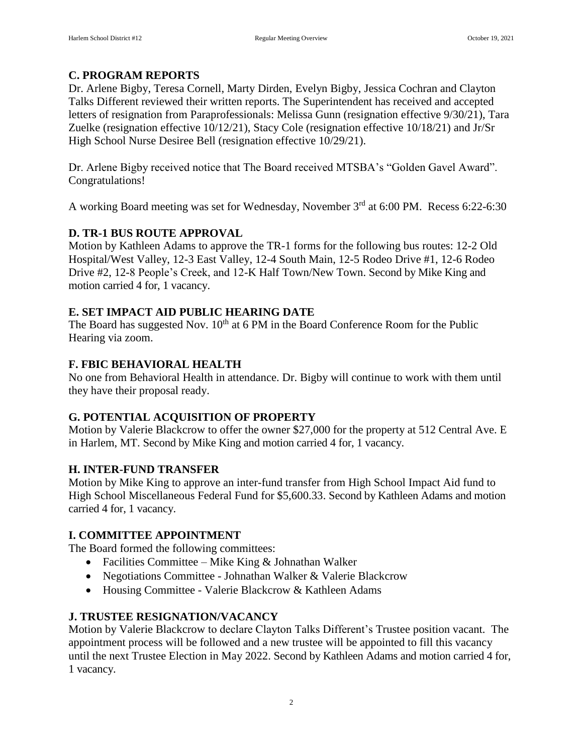#### **C. PROGRAM REPORTS**

Dr. Arlene Bigby, Teresa Cornell, Marty Dirden, Evelyn Bigby, Jessica Cochran and Clayton Talks Different reviewed their written reports. The Superintendent has received and accepted letters of resignation from Paraprofessionals: Melissa Gunn (resignation effective 9/30/21), Tara Zuelke (resignation effective 10/12/21), Stacy Cole (resignation effective 10/18/21) and Jr/Sr High School Nurse Desiree Bell (resignation effective 10/29/21).

Dr. Arlene Bigby received notice that The Board received MTSBA's "Golden Gavel Award". Congratulations!

A working Board meeting was set for Wednesday, November 3rd at 6:00 PM. Recess 6:22-6:30

#### **D. TR-1 BUS ROUTE APPROVAL**

Motion by Kathleen Adams to approve the TR-1 forms for the following bus routes: 12-2 Old Hospital/West Valley, 12-3 East Valley, 12-4 South Main, 12-5 Rodeo Drive #1, 12-6 Rodeo Drive #2, 12-8 People's Creek, and 12-K Half Town/New Town. Second by Mike King and motion carried 4 for, 1 vacancy.

#### **E. SET IMPACT AID PUBLIC HEARING DATE**

The Board has suggested Nov. 10<sup>th</sup> at 6 PM in the Board Conference Room for the Public Hearing via zoom.

#### **F. FBIC BEHAVIORAL HEALTH**

No one from Behavioral Health in attendance. Dr. Bigby will continue to work with them until they have their proposal ready.

#### **G. POTENTIAL ACQUISITION OF PROPERTY**

Motion by Valerie Blackcrow to offer the owner \$27,000 for the property at 512 Central Ave. E in Harlem, MT. Second by Mike King and motion carried 4 for, 1 vacancy.

#### **H. INTER-FUND TRANSFER**

Motion by Mike King to approve an inter-fund transfer from High School Impact Aid fund to High School Miscellaneous Federal Fund for \$5,600.33. Second by Kathleen Adams and motion carried 4 for, 1 vacancy.

#### **I. COMMITTEE APPOINTMENT**

The Board formed the following committees:

- Facilities Committee Mike King & Johnathan Walker
- Negotiations Committee Johnathan Walker & Valerie Blackcrow
- Housing Committee Valerie Blackcrow & Kathleen Adams

#### **J. TRUSTEE RESIGNATION/VACANCY**

Motion by Valerie Blackcrow to declare Clayton Talks Different's Trustee position vacant. The appointment process will be followed and a new trustee will be appointed to fill this vacancy until the next Trustee Election in May 2022. Second by Kathleen Adams and motion carried 4 for, 1 vacancy.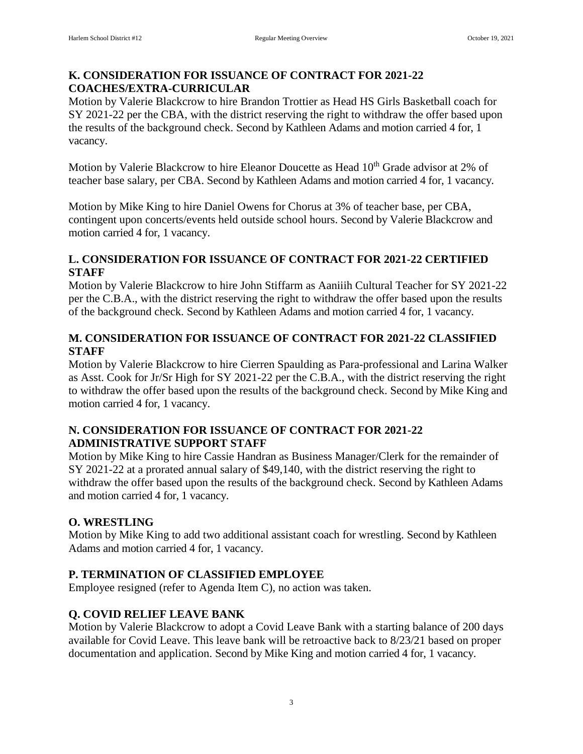#### **K. CONSIDERATION FOR ISSUANCE OF CONTRACT FOR 2021-22 COACHES/EXTRA-CURRICULAR**

Motion by Valerie Blackcrow to hire Brandon Trottier as Head HS Girls Basketball coach for SY 2021-22 per the CBA, with the district reserving the right to withdraw the offer based upon the results of the background check. Second by Kathleen Adams and motion carried 4 for, 1 vacancy.

Motion by Valerie Blackcrow to hire Eleanor Doucette as Head 10<sup>th</sup> Grade advisor at 2% of teacher base salary, per CBA. Second by Kathleen Adams and motion carried 4 for, 1 vacancy.

Motion by Mike King to hire Daniel Owens for Chorus at 3% of teacher base, per CBA, contingent upon concerts/events held outside school hours. Second by Valerie Blackcrow and motion carried 4 for, 1 vacancy.

#### **L. CONSIDERATION FOR ISSUANCE OF CONTRACT FOR 2021-22 CERTIFIED STAFF**

Motion by Valerie Blackcrow to hire John Stiffarm as Aaniiih Cultural Teacher for SY 2021-22 per the C.B.A., with the district reserving the right to withdraw the offer based upon the results of the background check. Second by Kathleen Adams and motion carried 4 for, 1 vacancy.

### **M. CONSIDERATION FOR ISSUANCE OF CONTRACT FOR 2021-22 CLASSIFIED STAFF**

Motion by Valerie Blackcrow to hire Cierren Spaulding as Para-professional and Larina Walker as Asst. Cook for Jr/Sr High for SY 2021-22 per the C.B.A., with the district reserving the right to withdraw the offer based upon the results of the background check. Second by Mike King and motion carried 4 for, 1 vacancy.

### **N. CONSIDERATION FOR ISSUANCE OF CONTRACT FOR 2021-22 ADMINISTRATIVE SUPPORT STAFF**

Motion by Mike King to hire Cassie Handran as Business Manager/Clerk for the remainder of SY 2021-22 at a prorated annual salary of \$49,140, with the district reserving the right to withdraw the offer based upon the results of the background check. Second by Kathleen Adams and motion carried 4 for, 1 vacancy.

# **O. WRESTLING**

Motion by Mike King to add two additional assistant coach for wrestling. Second by Kathleen Adams and motion carried 4 for, 1 vacancy.

# **P. TERMINATION OF CLASSIFIED EMPLOYEE**

Employee resigned (refer to Agenda Item C), no action was taken.

# **Q. COVID RELIEF LEAVE BANK**

Motion by Valerie Blackcrow to adopt a Covid Leave Bank with a starting balance of 200 days available for Covid Leave. This leave bank will be retroactive back to 8/23/21 based on proper documentation and application. Second by Mike King and motion carried 4 for, 1 vacancy.